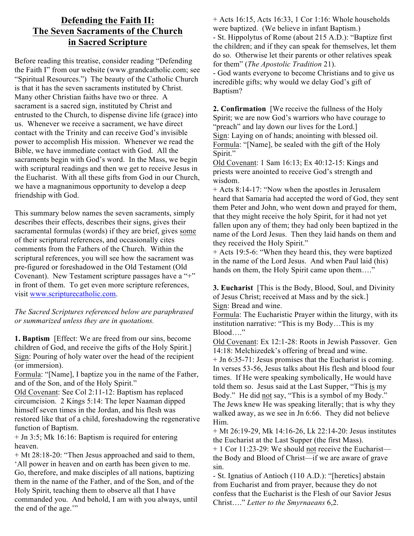## **Defending the Faith II: The Seven Sacraments of the Church in Sacred Scripture**

Before reading this treatise, consider reading "Defending the Faith I" from our website (www.grandcatholic.com; see "Spiritual Resources.") The beauty of the Catholic Church is that it has the seven sacraments instituted by Christ. Many other Christian faiths have two or three. A sacrament is a sacred sign, instituted by Christ and entrusted to the Church, to dispense divine life (grace) into us. Whenever we receive a sacrament, we have direct contact with the Trinity and can receive God's invisible power to accomplish His mission. Whenever we read the Bible, we have immediate contact with God. All the sacraments begin with God's word. In the Mass, we begin with scriptural readings and then we get to receive Jesus in the Eucharist. With all these gifts from God in our Church, we have a magnanimous opportunity to develop a deep friendship with God.

This summary below names the seven sacraments, simply describes their effects, describes their signs, gives their sacramental formulas (words) if they are brief, gives some of their scriptural references, and occasionally cites comments from the Fathers of the Church. Within the scriptural references, you will see how the sacrament was pre-figured or foreshadowed in the Old Testament (Old Covenant). New Testament scripture passages have a "+" in front of them. To get even more scripture references, visit www.scripturecatholic.com.

*The Sacred Scriptures referenced below are paraphrased or summarized unless they are in quotations.*

**1. Baptism** [Effect: We are freed from our sins, become children of God, and receive the gifts of the Holy Spirit.] Sign: Pouring of holy water over the head of the recipient (or immersion).

Formula: "[Name], I baptize you in the name of the Father, and of the Son, and of the Holy Spirit."

Old Covenant: See Col 2:11-12: Baptism has replaced circumcision. 2 Kings 5:14: The leper Naaman dipped himself seven times in the Jordan, and his flesh was restored like that of a child, foreshadowing the regenerative function of Baptism.

+ Jn 3:5; Mk 16:16: Baptism is required for entering heaven.

+ Mt 28:18-20: "Then Jesus approached and said to them, 'All power in heaven and on earth has been given to me. Go, therefore, and make disciples of all nations, baptizing them in the name of the Father, and of the Son, and of the Holy Spirit, teaching them to observe all that I have commanded you. And behold, I am with you always, until the end of the age.""

+ Acts 16:15, Acts 16:33, 1 Cor 1:16: Whole households were baptized. (We believe in infant Baptism.)

- St. Hippolytus of Rome (about 215 A.D.): "Baptize first the children; and if they can speak for themselves, let them do so. Otherwise let their parents or other relatives speak for them" (*The Apostolic Tradition* 21).

- God wants everyone to become Christians and to give us incredible gifts; why would we delay God's gift of Baptism?

**2. Confirmation** [We receive the fullness of the Holy Spirit; we are now God's warriors who have courage to "preach" and lay down our lives for the Lord.] Sign: Laying on of hands; anointing with blessed oil. Formula: "[Name], be sealed with the gift of the Holy Spirit."

Old Covenant: 1 Sam 16:13; Ex 40:12-15: Kings and priests were anointed to receive God's strength and wisdom.

+ Acts 8:14-17: "Now when the apostles in Jerusalem heard that Samaria had accepted the word of God, they sent them Peter and John, who went down and prayed for them, that they might receive the holy Spirit, for it had not yet fallen upon any of them; they had only been baptized in the name of the Lord Jesus. Then they laid hands on them and they received the Holy Spirit."

+ Acts 19:5-6: "When they heard this, they were baptized in the name of the Lord Jesus. And when Paul laid (his) hands on them, the Holy Spirit came upon them...."

**3. Eucharist** [This is the Body, Blood, Soul, and Divinity of Jesus Christ; received at Mass and by the sick.] Sign: Bread and wine.

Formula: The Eucharistic Prayer within the liturgy, with its institution narrative: "This is my Body…This is my Blood…."

Old Covenant: Ex 12:1-28: Roots in Jewish Passover. Gen 14:18: Melchizedek's offering of bread and wine.

+ Jn 6:35-71: Jesus promises that the Eucharist is coming. In verses 53-56, Jesus talks about His flesh and blood four times. If He were speaking symbolically, He would have told them so. Jesus said at the Last Supper, "This is my Body." He did not say, "This is a symbol of my Body." The Jews knew He was speaking literally; that is why they walked away, as we see in Jn 6:66. They did not believe Him.

+ Mt 26:19-29, Mk 14:16-26, Lk 22:14-20: Jesus institutes the Eucharist at the Last Supper (the first Mass).

+ 1 Cor 11:23-29: We should not receive the Eucharist the Body and Blood of Christ—if we are aware of grave sin.

- St. Ignatius of Antioch (110 A.D.): "[heretics] abstain from Eucharist and from prayer, because they do not confess that the Eucharist is the Flesh of our Savior Jesus Christ…." *Letter to the Smyrnaeans* 6,2.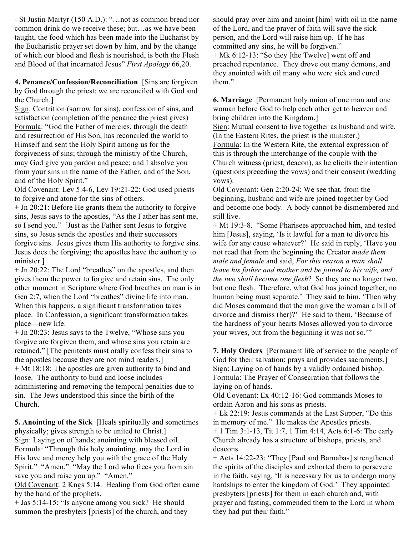- St Justin Martyr (150 A.D.): "…not as common bread nor common drink do we receive these; but…as we have been taught, the food which has been made into the Eucharist by the Eucharistic prayer set down by him, and by the change of which our blood and flesh is nourished, is both the Flesh and Blood of that incarnated Jesus" *First Apology* 66,20.

**4. Penance/Confession/Reconciliation** [Sins are forgiven by God through the priest; we are reconciled with God and the Church.]

Sign: Contrition (sorrow for sins), confession of sins, and satisfaction (completion of the penance the priest gives) Formula: "God the Father of mercies, through the death and resurrection of His Son, has reconciled the world to Himself and sent the Holy Spirit among us for the forgiveness of sins; through the ministry of the Church, may God give you pardon and peace; and I absolve you from your sins in the name of the Father, and of the Son, and of the Holy Spirit."

Old Covenant: Lev 5:4-6, Lev 19:21-22: God used priests to forgive and atone for the sins of others.

+ Jn 20:21: Before He grants them the authority to forgive sins, Jesus says to the apostles, "As the Father has sent me, so I send you." [Just as the Father sent Jesus to forgive sins, so Jesus sends the apostles and their successors forgive sins. Jesus gives them His authority to forgive sins. Jesus does the forgiving; the apostles have the authority to minister.]

+ Jn 20:22: The Lord "breathes" on the apostles, and then gives them the power to forgive and retain sins. The only other moment in Scripture where God breathes on man is in Gen 2:7, when the Lord "breathes" divine life into man. When this happens, a significant transformation takes place. In Confession, a significant transformation takes place—new life.

+ Jn 20:23: Jesus says to the Twelve, "Whose sins you forgive are forgiven them, and whose sins you retain are retained." [The penitents must orally confess their sins to the apostles because they are not mind readers.] + Mt 18:18: The apostles are given authority to bind and loose. The authority to bind and loose includes administering and removing the temporal penalties due to sin. The Jews understood this since the birth of the Church.

**5. Anointing of the Sick** [Heals spiritually and sometimes physically; gives strength to be united to Christ.] Sign: Laying on of hands; anointing with blessed oil. Formula: "Through this holy anointing, may the Lord in His love and mercy help you with the grace of the Holy Spirit." "Amen." "May the Lord who frees you from sin save you and raise you up." "Amen."

Old Covenant: 2 Kngs 5:14. Healing from God often came by the hand of the prophets.

+ Jas 5:14-15: "Is anyone among you sick? He should summon the presbyters [priests] of the church, and they should pray over him and anoint [him] with oil in the name of the Lord, and the prayer of faith will save the sick person, and the Lord will raise him up. If he has committed any sins, he will be forgiven."

+ Mk 6:12-13: "So they [the Twelve] went off and preached repentance. They drove out many demons, and they anointed with oil many who were sick and cured them."

**6. Marriage** [Permanent holy union of one man and one woman before God to help each other get to heaven and bring children into the Kingdom.]

Sign: Mutual consent to live together as husband and wife. (In the Eastern Rites, the priest is the minister.)

Formula: In the Western Rite, the external expression of this is through the interchange of the couple with the Church witness (priest, deacon), as he elicits their intention (questions preceding the vows) and their consent (wedding vows).

Old Covenant: Gen 2:20-24: We see that, from the beginning, husband and wife are joined together by God and become one body. A body cannot be dismembered and still live.

+ Mt 19:3-8. "Some Pharisees approached him, and tested him [Jesus], saying, 'Is it lawful for a man to divorce his wife for any cause whatever?' He said in reply, 'Have you not read that from the beginning the Creator *made them male and female* and said, *For this reason a man shall leave his father and mother and be joined to his wife, and the two shall become one flesh*? So they are no longer two, but one flesh. Therefore, what God has joined together, no human being must separate.' They said to him, 'Then why did Moses command that the man give the woman a bill of divorce and dismiss (her)?' He said to them, 'Because of the hardness of your hearts Moses allowed you to divorce your wives, but from the beginning it was not so.'"

**7. Holy Orders** [Permanent life of service to the people of God for their salvation; prays and provides sacraments. Sign: Laying on of hands by a validly ordained bishop. Formula: The Prayer of Consecration that follows the laying on of hands.

Old Covenant: Ex 40:12-16: God commands Moses to ordain Aaron and his sons as priests.

+ Lk 22:19: Jesus commands at the Last Supper, "Do this in memory of me." He makes the Apostles priests. + 1 Tim 3:1-13, Tit 1:7, 1 Tim 4:14, Acts 6:1-6: The early Church already has a structure of bishops, priests, and deacons.

+ Acts 14:22-23: "They [Paul and Barnabas] strengthened the spirits of the disciples and exhorted them to persevere in the faith, saying, 'It is necessary for us to undergo many hardships to enter the kingdom of God.' They appointed presbyters [priests] for them in each church and, with prayer and fasting, commended them to the Lord in whom they had put their faith."